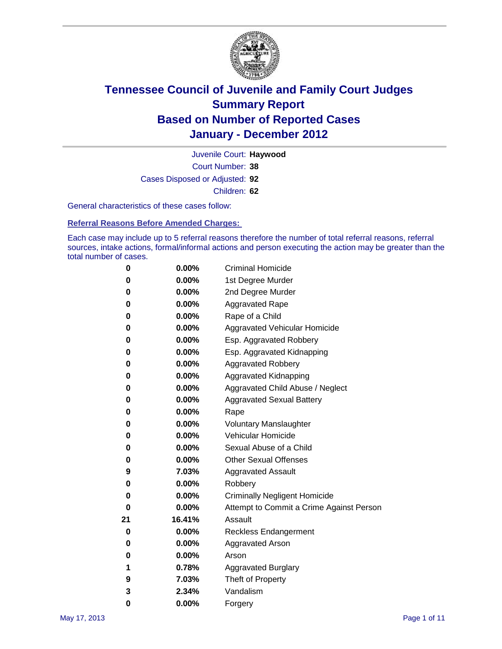

Court Number: **38** Juvenile Court: **Haywood** Cases Disposed or Adjusted: **92** Children: **62**

General characteristics of these cases follow:

**Referral Reasons Before Amended Charges:** 

Each case may include up to 5 referral reasons therefore the number of total referral reasons, referral sources, intake actions, formal/informal actions and person executing the action may be greater than the total number of cases.

| 0  | 0.00%    | <b>Criminal Homicide</b>                 |  |  |  |  |
|----|----------|------------------------------------------|--|--|--|--|
| 0  | 0.00%    | 1st Degree Murder                        |  |  |  |  |
| 0  | 0.00%    | 2nd Degree Murder                        |  |  |  |  |
| 0  | 0.00%    | <b>Aggravated Rape</b>                   |  |  |  |  |
| 0  | 0.00%    | Rape of a Child                          |  |  |  |  |
| 0  | 0.00%    | Aggravated Vehicular Homicide            |  |  |  |  |
| 0  | 0.00%    | Esp. Aggravated Robbery                  |  |  |  |  |
| 0  | 0.00%    | Esp. Aggravated Kidnapping               |  |  |  |  |
| 0  | 0.00%    | <b>Aggravated Robbery</b>                |  |  |  |  |
| 0  | 0.00%    | Aggravated Kidnapping                    |  |  |  |  |
| 0  | 0.00%    | Aggravated Child Abuse / Neglect         |  |  |  |  |
| 0  | 0.00%    | <b>Aggravated Sexual Battery</b>         |  |  |  |  |
| 0  | 0.00%    | Rape                                     |  |  |  |  |
| 0  | 0.00%    | <b>Voluntary Manslaughter</b>            |  |  |  |  |
| 0  | 0.00%    | Vehicular Homicide                       |  |  |  |  |
| 0  | 0.00%    | Sexual Abuse of a Child                  |  |  |  |  |
| 0  | 0.00%    | <b>Other Sexual Offenses</b>             |  |  |  |  |
| 9  | 7.03%    | <b>Aggravated Assault</b>                |  |  |  |  |
| 0  | $0.00\%$ | Robbery                                  |  |  |  |  |
| 0  | 0.00%    | <b>Criminally Negligent Homicide</b>     |  |  |  |  |
| 0  | 0.00%    | Attempt to Commit a Crime Against Person |  |  |  |  |
| 21 | 16.41%   | Assault                                  |  |  |  |  |
| 0  | 0.00%    | <b>Reckless Endangerment</b>             |  |  |  |  |
| 0  | 0.00%    | <b>Aggravated Arson</b>                  |  |  |  |  |
| 0  | 0.00%    | Arson                                    |  |  |  |  |
| 1  | 0.78%    | <b>Aggravated Burglary</b>               |  |  |  |  |
| 9  | 7.03%    | Theft of Property                        |  |  |  |  |
| 3  | 2.34%    | Vandalism                                |  |  |  |  |
| 0  | 0.00%    | Forgery                                  |  |  |  |  |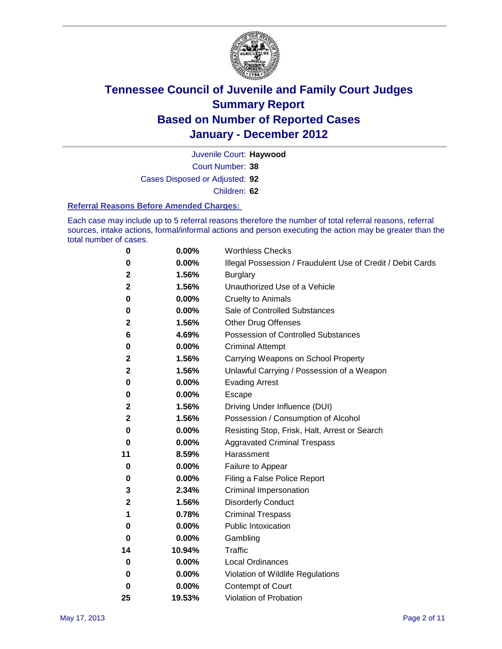

Court Number: **38** Juvenile Court: **Haywood**

Cases Disposed or Adjusted: **92**

Children: **62**

#### **Referral Reasons Before Amended Charges:**

Each case may include up to 5 referral reasons therefore the number of total referral reasons, referral sources, intake actions, formal/informal actions and person executing the action may be greater than the total number of cases.

| 0            | 0.00%  | <b>Worthless Checks</b>                                     |
|--------------|--------|-------------------------------------------------------------|
| 0            | 0.00%  | Illegal Possession / Fraudulent Use of Credit / Debit Cards |
| 2            | 1.56%  | <b>Burglary</b>                                             |
| 2            | 1.56%  | Unauthorized Use of a Vehicle                               |
| 0            | 0.00%  | <b>Cruelty to Animals</b>                                   |
| 0            | 0.00%  | Sale of Controlled Substances                               |
| 2            | 1.56%  | <b>Other Drug Offenses</b>                                  |
| 6            | 4.69%  | Possession of Controlled Substances                         |
| 0            | 0.00%  | <b>Criminal Attempt</b>                                     |
| 2            | 1.56%  | Carrying Weapons on School Property                         |
| 2            | 1.56%  | Unlawful Carrying / Possession of a Weapon                  |
| 0            | 0.00%  | <b>Evading Arrest</b>                                       |
| 0            | 0.00%  | Escape                                                      |
| 2            | 1.56%  | Driving Under Influence (DUI)                               |
| $\mathbf{2}$ | 1.56%  | Possession / Consumption of Alcohol                         |
| 0            | 0.00%  | Resisting Stop, Frisk, Halt, Arrest or Search               |
| 0            | 0.00%  | <b>Aggravated Criminal Trespass</b>                         |
| 11           | 8.59%  | Harassment                                                  |
| 0            | 0.00%  | Failure to Appear                                           |
| 0            | 0.00%  | Filing a False Police Report                                |
| 3            | 2.34%  | Criminal Impersonation                                      |
| 2            | 1.56%  | <b>Disorderly Conduct</b>                                   |
| 1            | 0.78%  | <b>Criminal Trespass</b>                                    |
| 0            | 0.00%  | <b>Public Intoxication</b>                                  |
| 0            | 0.00%  | Gambling                                                    |
| 14           | 10.94% | <b>Traffic</b>                                              |
| 0            | 0.00%  | <b>Local Ordinances</b>                                     |
| 0            | 0.00%  | Violation of Wildlife Regulations                           |
| 0            | 0.00%  | Contempt of Court                                           |
| 25           | 19.53% | Violation of Probation                                      |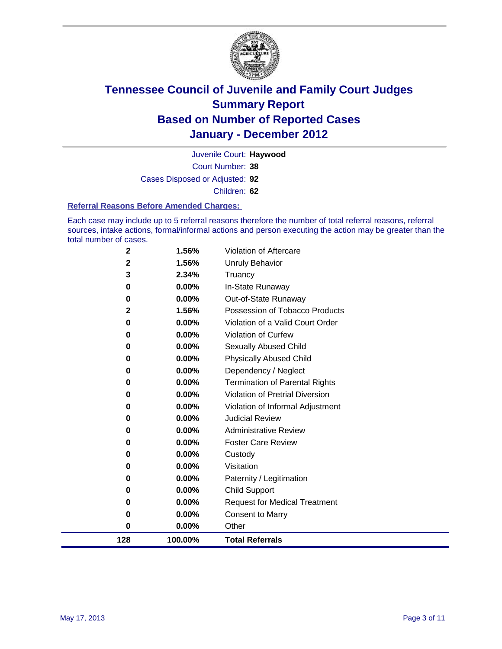

Court Number: **38** Juvenile Court: **Haywood** Cases Disposed or Adjusted: **92** Children: **62**

#### **Referral Reasons Before Amended Charges:**

Each case may include up to 5 referral reasons therefore the number of total referral reasons, referral sources, intake actions, formal/informal actions and person executing the action may be greater than the total number of cases.

| 128         | 100.00%        | <b>Total Referrals</b>                                 |
|-------------|----------------|--------------------------------------------------------|
| 0           | 0.00%          | Other                                                  |
| 0           | 0.00%          | <b>Consent to Marry</b>                                |
| 0           | 0.00%          | <b>Request for Medical Treatment</b>                   |
| 0           | 0.00%          | <b>Child Support</b>                                   |
| 0           | 0.00%          | Paternity / Legitimation                               |
| 0           | 0.00%          | Visitation                                             |
| 0           | 0.00%          | Custody                                                |
| 0           | 0.00%          | <b>Foster Care Review</b>                              |
| 0           | 0.00%          | <b>Administrative Review</b>                           |
| 0           | 0.00%          | <b>Judicial Review</b>                                 |
| 0           | 0.00%          | Violation of Informal Adjustment                       |
| 0           | 0.00%          | <b>Violation of Pretrial Diversion</b>                 |
| 0           | 0.00%          | Termination of Parental Rights                         |
| 0           | 0.00%          | Dependency / Neglect                                   |
| 0           | 0.00%          | <b>Physically Abused Child</b>                         |
| 0           | 0.00%          | Sexually Abused Child                                  |
| 0           | 0.00%          | <b>Violation of Curfew</b>                             |
| 0           | 0.00%          | Violation of a Valid Court Order                       |
| 0<br>2      | 0.00%<br>1.56% | Out-of-State Runaway<br>Possession of Tobacco Products |
| $\bf{0}$    | 0.00%          | In-State Runaway                                       |
| 3           | 2.34%          | Truancy                                                |
| $\mathbf 2$ | 1.56%          | Unruly Behavior                                        |
| $\mathbf 2$ | 1.56%          | Violation of Aftercare                                 |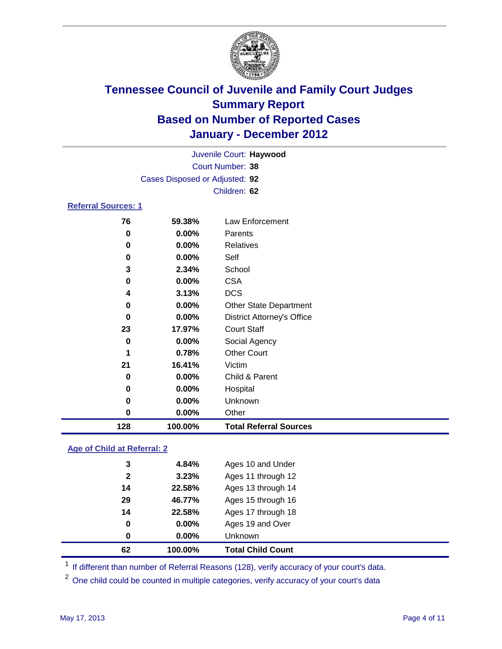

| 128                        | 100.00%                        | <b>Total Referral Sources</b>     |  |  |  |
|----------------------------|--------------------------------|-----------------------------------|--|--|--|
| $\bf{0}$                   | 0.00%                          | Other                             |  |  |  |
| 0                          | 0.00%                          | Unknown                           |  |  |  |
| 0                          | 0.00%                          | Hospital                          |  |  |  |
| 0                          | 0.00%                          | Child & Parent                    |  |  |  |
| 21                         | 16.41%                         | Victim                            |  |  |  |
| 1                          | 0.78%                          | <b>Other Court</b>                |  |  |  |
| 0                          | 0.00%                          | Social Agency                     |  |  |  |
| 23                         | 17.97%                         | <b>Court Staff</b>                |  |  |  |
| 0                          | 0.00%                          | <b>District Attorney's Office</b> |  |  |  |
| 0                          | 0.00%                          | <b>Other State Department</b>     |  |  |  |
| 4                          | 3.13%                          | <b>DCS</b>                        |  |  |  |
| 0                          | 0.00%                          | <b>CSA</b>                        |  |  |  |
| 3                          | 2.34%                          | School                            |  |  |  |
| 0                          | 0.00%                          | Self                              |  |  |  |
| 0                          | 0.00%                          | <b>Relatives</b>                  |  |  |  |
| 0                          | 0.00%                          | Parents                           |  |  |  |
| 76                         | 59.38%                         | <b>Law Enforcement</b>            |  |  |  |
| <b>Referral Sources: 1</b> |                                |                                   |  |  |  |
|                            | Children: 62                   |                                   |  |  |  |
|                            | Cases Disposed or Adjusted: 92 |                                   |  |  |  |
|                            | <b>Court Number: 38</b>        |                                   |  |  |  |
|                            |                                | Juvenile Court: Haywood           |  |  |  |
|                            |                                |                                   |  |  |  |

### **Age of Child at Referral: 2**

| 62           | 100.00%  | <b>Total Child Count</b> |
|--------------|----------|--------------------------|
| 0            | $0.00\%$ | <b>Unknown</b>           |
| 0            | 0.00%    | Ages 19 and Over         |
| 14           | 22.58%   | Ages 17 through 18       |
| 29           | 46.77%   | Ages 15 through 16       |
| 14           | 22.58%   | Ages 13 through 14       |
| $\mathbf{2}$ | 3.23%    | Ages 11 through 12       |
| 3            | 4.84%    | Ages 10 and Under        |
|              |          |                          |

<sup>1</sup> If different than number of Referral Reasons (128), verify accuracy of your court's data.

<sup>2</sup> One child could be counted in multiple categories, verify accuracy of your court's data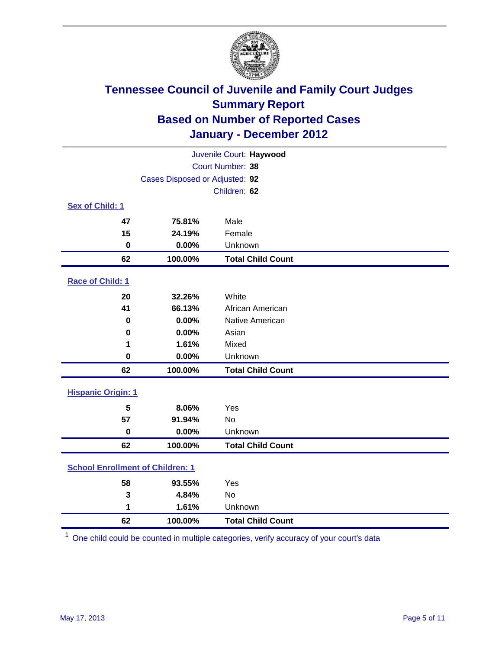

| Juvenile Court: Haywood                 |                                |                          |  |  |  |
|-----------------------------------------|--------------------------------|--------------------------|--|--|--|
| Court Number: 38                        |                                |                          |  |  |  |
|                                         | Cases Disposed or Adjusted: 92 |                          |  |  |  |
|                                         | Children: 62                   |                          |  |  |  |
| Sex of Child: 1                         |                                |                          |  |  |  |
| 47                                      | 75.81%                         | Male                     |  |  |  |
| 15                                      | 24.19%                         | Female                   |  |  |  |
| $\mathbf 0$                             | 0.00%                          | Unknown                  |  |  |  |
| 62                                      | 100.00%                        | <b>Total Child Count</b> |  |  |  |
| Race of Child: 1                        |                                |                          |  |  |  |
| 20                                      | 32.26%                         | White                    |  |  |  |
| 41                                      | 66.13%                         | African American         |  |  |  |
| 0                                       | 0.00%                          | Native American          |  |  |  |
| $\mathbf 0$                             | 0.00%                          | Asian                    |  |  |  |
| 1                                       | 1.61%                          | Mixed                    |  |  |  |
| 0                                       | 0.00%                          | Unknown                  |  |  |  |
| 62                                      | 100.00%                        | <b>Total Child Count</b> |  |  |  |
| <b>Hispanic Origin: 1</b>               |                                |                          |  |  |  |
| 5                                       | 8.06%                          | Yes                      |  |  |  |
| 57                                      | 91.94%                         | No                       |  |  |  |
| $\mathbf 0$                             | 0.00%                          | Unknown                  |  |  |  |
| 62                                      | 100.00%                        | <b>Total Child Count</b> |  |  |  |
| <b>School Enrollment of Children: 1</b> |                                |                          |  |  |  |
| 58                                      | 93.55%                         | Yes                      |  |  |  |
| 3                                       | 4.84%                          | No                       |  |  |  |
| 1                                       | 1.61%                          | Unknown                  |  |  |  |
| 62                                      | 100.00%                        | <b>Total Child Count</b> |  |  |  |

One child could be counted in multiple categories, verify accuracy of your court's data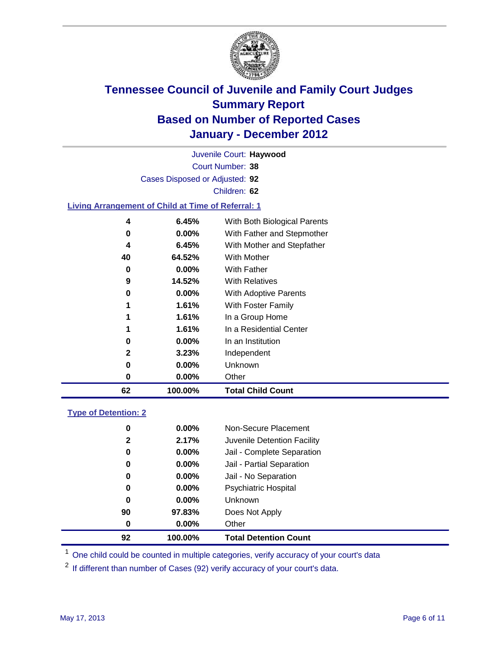

Court Number: **38** Juvenile Court: **Haywood** Cases Disposed or Adjusted: **92** Children: **62 Living Arrangement of Child at Time of Referral: 1 6.45%** With Both Biological Parents **0.00%** With Father and Stepmother **6.45%** With Mother and Stepfather **64.52%** With Mother **0.00%** With Father

| 62 | 100.00%  | <b>Total Child Count</b> |
|----|----------|--------------------------|
| 0  | $0.00\%$ | Other                    |
| 0  | $0.00\%$ | Unknown                  |
| 2  | 3.23%    | Independent              |
| 0  | $0.00\%$ | In an Institution        |
| 1  | 1.61%    | In a Residential Center  |
| 1  | 1.61%    | In a Group Home          |
| 1  | 1.61%    | With Foster Family       |
| 0  | $0.00\%$ | With Adoptive Parents    |
| 9  | 14.52%   | <b>With Relatives</b>    |
| 0  | $0.00\%$ | With Father              |
| 40 | 64.52%   | With Mother              |

### **Type of Detention: 2**

| 92           | 100.00%  | <b>Total Detention Count</b> |
|--------------|----------|------------------------------|
| 0            | $0.00\%$ | Other                        |
| 90           | 97.83%   | Does Not Apply               |
| 0            | 0.00%    | Unknown                      |
| 0            | $0.00\%$ | Psychiatric Hospital         |
| 0            | 0.00%    | Jail - No Separation         |
| 0            | $0.00\%$ | Jail - Partial Separation    |
| 0            | $0.00\%$ | Jail - Complete Separation   |
| $\mathbf{2}$ | 2.17%    | Juvenile Detention Facility  |
| 0            | $0.00\%$ | Non-Secure Placement         |
|              |          |                              |

<sup>1</sup> One child could be counted in multiple categories, verify accuracy of your court's data

<sup>2</sup> If different than number of Cases (92) verify accuracy of your court's data.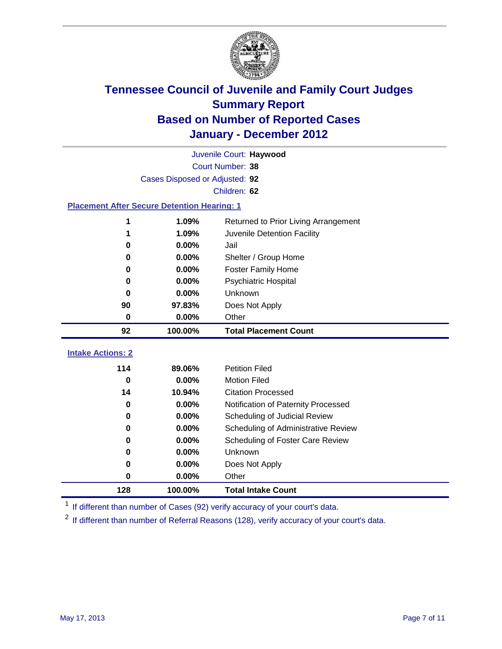

|                                                    | Juvenile Court: Haywood        |                                      |  |  |
|----------------------------------------------------|--------------------------------|--------------------------------------|--|--|
|                                                    | Court Number: 38               |                                      |  |  |
|                                                    | Cases Disposed or Adjusted: 92 |                                      |  |  |
|                                                    |                                | Children: 62                         |  |  |
| <b>Placement After Secure Detention Hearing: 1</b> |                                |                                      |  |  |
| 1                                                  | 1.09%                          | Returned to Prior Living Arrangement |  |  |
| 1                                                  | 1.09%                          | Juvenile Detention Facility          |  |  |
| $\bf{0}$                                           | 0.00%                          | Jail                                 |  |  |
| 0                                                  | 0.00%                          | Shelter / Group Home                 |  |  |
| $\bf{0}$                                           | 0.00%                          | <b>Foster Family Home</b>            |  |  |
| 0                                                  | 0.00%                          | Psychiatric Hospital                 |  |  |
| 0                                                  | 0.00%                          | Unknown                              |  |  |
| 90                                                 | 97.83%                         | Does Not Apply                       |  |  |
| $\mathbf 0$                                        | 0.00%                          | Other                                |  |  |
| 92                                                 | 100.00%                        | <b>Total Placement Count</b>         |  |  |
| <b>Intake Actions: 2</b>                           |                                |                                      |  |  |
| 114                                                | 89.06%                         | <b>Petition Filed</b>                |  |  |
| $\bf{0}$                                           | 0.00%                          | <b>Motion Filed</b>                  |  |  |
| 14                                                 | 10.94%                         | <b>Citation Processed</b>            |  |  |
| $\bf{0}$                                           |                                |                                      |  |  |
|                                                    | 0.00%                          | Notification of Paternity Processed  |  |  |
| $\mathbf 0$                                        | 0.00%                          | Scheduling of Judicial Review        |  |  |
| $\bf{0}$                                           | 0.00%                          | Scheduling of Administrative Review  |  |  |
| 0                                                  | $0.00\%$                       | Scheduling of Foster Care Review     |  |  |
| 0                                                  | 0.00%                          | Unknown                              |  |  |
| 0                                                  | 0.00%                          | Does Not Apply                       |  |  |
| 0                                                  | 0.00%                          | Other                                |  |  |

<sup>1</sup> If different than number of Cases (92) verify accuracy of your court's data.

<sup>2</sup> If different than number of Referral Reasons (128), verify accuracy of your court's data.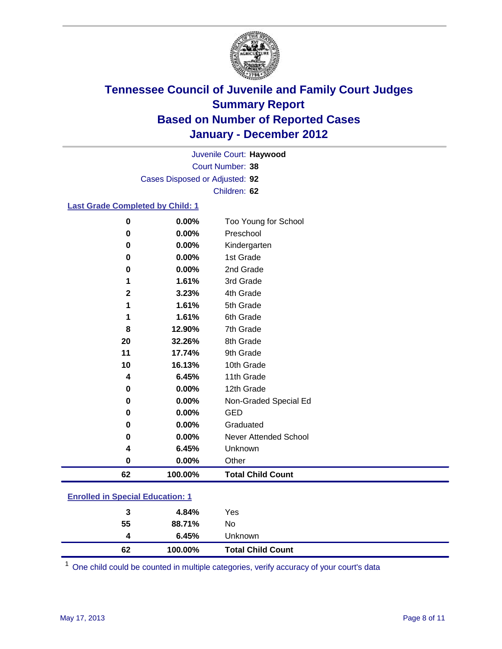

Court Number: **38** Juvenile Court: **Haywood** Cases Disposed or Adjusted: **92** Children: **62**

#### **Last Grade Completed by Child: 1**

| 62           | 100.00%        | <b>Total Child Count</b>     |  |
|--------------|----------------|------------------------------|--|
| 0            | 0.00%          | Other                        |  |
| 4            | 6.45%          | Unknown                      |  |
| 0            | 0.00%          | <b>Never Attended School</b> |  |
| 0            | 0.00%          | Graduated                    |  |
| 0            | 0.00%          | <b>GED</b>                   |  |
| $\pmb{0}$    | 0.00%          | Non-Graded Special Ed        |  |
| 0            | 0.00%          | 12th Grade                   |  |
| 4            | 6.45%          | 11th Grade                   |  |
| 10           | 16.13%         | 10th Grade                   |  |
| 11           | 17.74%         | 9th Grade                    |  |
| 20           | 32.26%         | 8th Grade                    |  |
| 8            | 12.90%         | 7th Grade                    |  |
| 1            | 1.61%          | 6th Grade                    |  |
| 1            | 1.61%          | 5th Grade                    |  |
| $\mathbf{2}$ | 3.23%          | 4th Grade                    |  |
| 1            | 1.61%          | 3rd Grade                    |  |
| 0            | 0.00%          | 2nd Grade                    |  |
| 0<br>0       | 0.00%<br>0.00% | Kindergarten<br>1st Grade    |  |
| 0            | 0.00%          | Preschool                    |  |
| 0            | 0.00%          | Too Young for School         |  |

### **Enrolled in Special Education: 1**

| 62 | 100.00% | <b>Total Child Count</b> |
|----|---------|--------------------------|
| 4  | 6.45%   | <b>Unknown</b>           |
| 55 | 88.71%  | No                       |
| 3  | 4.84%   | Yes                      |
|    |         |                          |

One child could be counted in multiple categories, verify accuracy of your court's data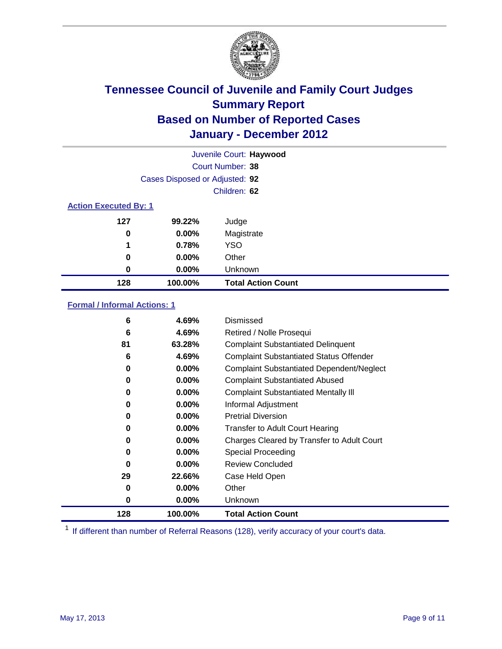

| Juvenile Court: Haywood      |                                |                           |  |  |
|------------------------------|--------------------------------|---------------------------|--|--|
|                              | Court Number: 38               |                           |  |  |
|                              | Cases Disposed or Adjusted: 92 |                           |  |  |
|                              | Children: 62                   |                           |  |  |
| <b>Action Executed By: 1</b> |                                |                           |  |  |
| 127                          | 99.22%                         | Judge                     |  |  |
| 0                            | $0.00\%$                       | Magistrate                |  |  |
| 1                            | 0.78%                          | <b>YSO</b>                |  |  |
| 0                            | $0.00\%$                       | Other                     |  |  |
| 0                            | 0.00%                          | Unknown                   |  |  |
| 128                          | 100.00%                        | <b>Total Action Count</b> |  |  |

### **Formal / Informal Actions: 1**

| 6   | 4.69%    | Dismissed                                        |
|-----|----------|--------------------------------------------------|
| 6   | 4.69%    | Retired / Nolle Prosequi                         |
| 81  | 63.28%   | <b>Complaint Substantiated Delinquent</b>        |
| 6   | 4.69%    | <b>Complaint Substantiated Status Offender</b>   |
| 0   | $0.00\%$ | <b>Complaint Substantiated Dependent/Neglect</b> |
| 0   | $0.00\%$ | <b>Complaint Substantiated Abused</b>            |
| 0   | $0.00\%$ | <b>Complaint Substantiated Mentally III</b>      |
| 0   | $0.00\%$ | Informal Adjustment                              |
| 0   | $0.00\%$ | <b>Pretrial Diversion</b>                        |
| 0   | $0.00\%$ | <b>Transfer to Adult Court Hearing</b>           |
| 0   | $0.00\%$ | Charges Cleared by Transfer to Adult Court       |
| 0   | $0.00\%$ | Special Proceeding                               |
| 0   | $0.00\%$ | <b>Review Concluded</b>                          |
| 29  | 22.66%   | Case Held Open                                   |
| 0   | $0.00\%$ | Other                                            |
| 0   | $0.00\%$ | Unknown                                          |
| 128 | 100.00%  | <b>Total Action Count</b>                        |

<sup>1</sup> If different than number of Referral Reasons (128), verify accuracy of your court's data.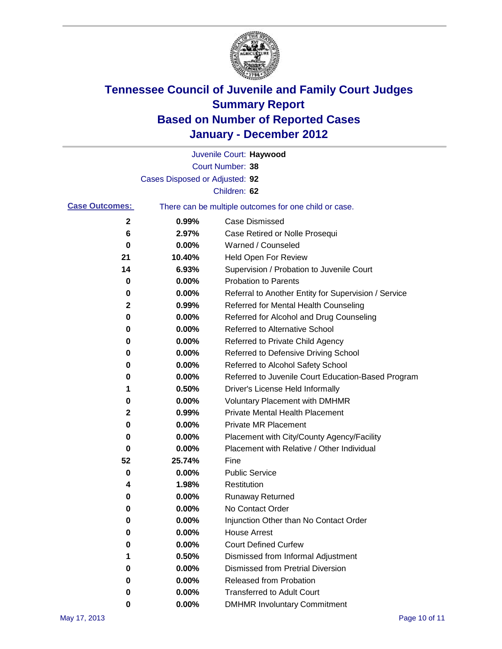

|                       |                                | Juvenile Court: Haywood                               |
|-----------------------|--------------------------------|-------------------------------------------------------|
|                       |                                | Court Number: 38                                      |
|                       | Cases Disposed or Adjusted: 92 |                                                       |
|                       |                                | Children: 62                                          |
| <b>Case Outcomes:</b> |                                | There can be multiple outcomes for one child or case. |
| 2                     | 0.99%                          | <b>Case Dismissed</b>                                 |
| 6                     | 2.97%                          | Case Retired or Nolle Prosequi                        |
| 0                     | 0.00%                          | Warned / Counseled                                    |
| 21                    | 10.40%                         | Held Open For Review                                  |
| 14                    | 6.93%                          | Supervision / Probation to Juvenile Court             |
| 0                     | 0.00%                          | <b>Probation to Parents</b>                           |
| 0                     | 0.00%                          | Referral to Another Entity for Supervision / Service  |
| 2                     | 0.99%                          | Referred for Mental Health Counseling                 |
| 0                     | 0.00%                          | Referred for Alcohol and Drug Counseling              |
| 0                     | 0.00%                          | Referred to Alternative School                        |
| 0                     | 0.00%                          | Referred to Private Child Agency                      |
| 0                     | 0.00%                          | Referred to Defensive Driving School                  |
| 0                     | 0.00%                          | Referred to Alcohol Safety School                     |
| 0                     | 0.00%                          | Referred to Juvenile Court Education-Based Program    |
| 1                     | 0.50%                          | Driver's License Held Informally                      |
| 0                     | 0.00%                          | <b>Voluntary Placement with DMHMR</b>                 |
| 2                     | 0.99%                          | <b>Private Mental Health Placement</b>                |
| 0                     | 0.00%                          | <b>Private MR Placement</b>                           |
| 0                     | 0.00%                          | Placement with City/County Agency/Facility            |
| 0                     | 0.00%                          | Placement with Relative / Other Individual            |
| 52                    | 25.74%                         | Fine                                                  |
| 0                     | 0.00%                          | <b>Public Service</b>                                 |
| 4                     | 1.98%                          | Restitution                                           |
| 0                     | 0.00%                          | Runaway Returned                                      |
| 0                     | 0.00%                          | No Contact Order                                      |
| 0                     | 0.00%                          | Injunction Other than No Contact Order                |
| 0                     | 0.00%                          | <b>House Arrest</b>                                   |
| 0                     | 0.00%                          | <b>Court Defined Curfew</b>                           |
| 1                     | 0.50%                          | Dismissed from Informal Adjustment                    |
| 0                     | 0.00%                          | <b>Dismissed from Pretrial Diversion</b>              |
| 0                     | 0.00%                          | Released from Probation                               |
| 0                     | 0.00%                          | <b>Transferred to Adult Court</b>                     |
| 0                     | 0.00%                          | <b>DMHMR Involuntary Commitment</b>                   |